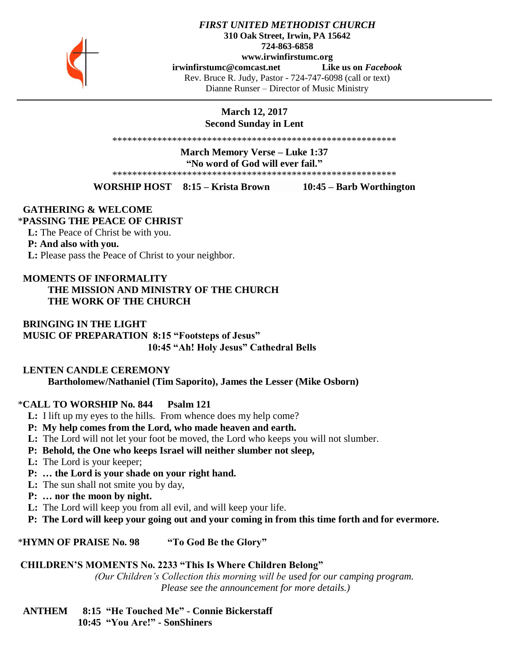

### *FIRST UNITED METHODIST CHURCH* **310 Oak Street, Irwin, PA 15642 724-863-6858 www.irwinfirstumc.org [irwinfirstumc@comcast.net](mailto:irwinfirstumc@comcast.net) Like us on** *Facebook* Rev. Bruce R. Judy, Pastor - 724-747-6098 (call or text) Dianne Runser – Director of Music Ministry

**March 12, 2017 Second Sunday in Lent**

\*\*\*\*\*\*\*\*\*\*\*\*\*\*\*\*\*\*\*\*\*\*\*\*\*\*\*\*\*\*\*\*\*\*\*\*\*\*\*\*\*\*\*\*\*\*\*\*\*\*\*\*\*\*\*\*\*

**March Memory Verse – Luke 1:37**

**"No word of God will ever fail."**

\*\*\*\*\*\*\*\*\*\*\*\*\*\*\*\*\*\*\*\*\*\*\*\*\*\*\*\*\*\*\*\*\*\*\*\*\*\*\*\*\*\*\*\*\*\*\*\*\*\*\*\*\*\*\*\*\*

**WORSHIP HOST 8:15 – Krista Brown 10:45 – Barb Worthington**

#### **GATHERING & WELCOME**

#### \***PASSING THE PEACE OF CHRIST**

 **L:** The Peace of Christ be with you.

# **P: And also with you.**

 **L:** Please pass the Peace of Christ to your neighbor.

# **MOMENTS OF INFORMALITY THE MISSION AND MINISTRY OF THE CHURCH THE WORK OF THE CHURCH**

# **BRINGING IN THE LIGHT MUSIC OF PREPARATION 8:15 "Footsteps of Jesus" 10:45 "Ah! Holy Jesus" Cathedral Bells**

# **LENTEN CANDLE CEREMONY Bartholomew/Nathaniel (Tim Saporito), James the Lesser (Mike Osborn)**

# \***CALL TO WORSHIP No. 844 Psalm 121**

- **L:** I lift up my eyes to the hills. From whence does my help come?
- **P: My help comes from the Lord, who made heaven and earth.**
- **L:** The Lord will not let your foot be moved, the Lord who keeps you will not slumber.
- **P: Behold, the One who keeps Israel will neither slumber not sleep,**
- **L:** The Lord is your keeper;
- **P: … the Lord is your shade on your right hand.**
- **L:** The sun shall not smite you by day,
- **P: … nor the moon by night.**
- **L:** The Lord will keep you from all evil, and will keep your life.
- **P: The Lord will keep your going out and your coming in from this time forth and for evermore.**

\***HYMN OF PRAISE No. 98 "To God Be the Glory"**

# **CHILDREN'S MOMENTS No. 2233 "This Is Where Children Belong"**

*(Our Children's Collection this morning will be used for our camping program. Please see the announcement for more details.)*

 **ANTHEM 8:15 "He Touched Me" - Connie Bickerstaff 10:45 "You Are!" - SonShiners**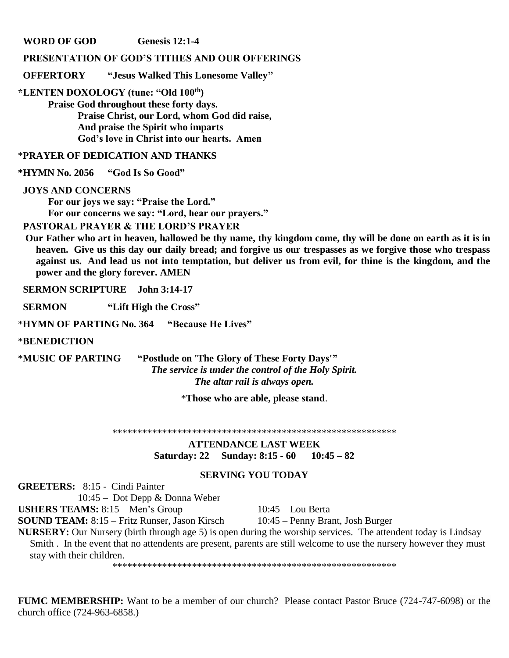**WORD OF GOD Genesis 12:1-4** 

# **PRESENTATION OF GOD'S TITHES AND OUR OFFERINGS**

 **OFFERTORY "Jesus Walked This Lonesome Valley"**

**\*LENTEN DOXOLOGY (tune: "Old 100th)**

**Praise God throughout these forty days. Praise Christ, our Lord, whom God did raise, And praise the Spirit who imparts God's love in Christ into our hearts. Amen**

\***PRAYER OF DEDICATION AND THANKS**

**\*HYMN No. 2056 "God Is So Good"**

#### **JOYS AND CONCERNS**

**For our joys we say: "Praise the Lord." For our concerns we say: "Lord, hear our prayers."**

 **PASTORAL PRAYER & THE LORD'S PRAYER** 

 **Our Father who art in heaven, hallowed be thy name, thy kingdom come, thy will be done on earth as it is in heaven. Give us this day our daily bread; and forgive us our trespasses as we forgive those who trespass against us. And lead us not into temptation, but deliver us from evil, for thine is the kingdom, and the power and the glory forever. AMEN**

 **SERMON SCRIPTURE John 3:14-17**

 **SERMON "Lift High the Cross"**

\***HYMN OF PARTING No. 364 "Because He Lives"**

\***BENEDICTION** 

\***MUSIC OF PARTING "Postlude on 'The Glory of These Forty Days'"** *The service is under the control of the Holy Spirit. The altar rail is always open.*

\***Those who are able, please stand**.

\*\*\*\*\*\*\*\*\*\*\*\*\*\*\*\*\*\*\*\*\*\*\*\*\*\*\*\*\*\*\*\*\*\*\*\*\*\*\*\*\*\*\*\*\*\*\*\*\*\*\*\*\*\*\*\*\*

**ATTENDANCE LAST WEEK Saturday: 22 Sunday: 8:15 - 60 10:45 – 82**

# **SERVING YOU TODAY**

**GREETERS:** 8:15 - Cindi Painter

10:45 – Dot Depp & Donna Weber **USHERS TEAMS:** 8:15 – Men's Group 10:45 – Lou Berta

**SOUND TEAM:** 8:15 – Fritz Runser, Jason Kirsch 10:45 – Penny Brant, Josh Burger

**NURSERY:** Our Nursery (birth through age 5) is open during the worship services. The attendent today is Lindsay

Smith . In the event that no attendents are present, parents are still welcome to use the nursery however they must stay with their children.

\*\*\*\*\*\*\*\*\*\*\*\*\*\*\*\*\*\*\*\*\*\*\*\*\*\*\*\*\*\*\*\*\*\*\*\*\*\*\*\*\*\*\*\*\*\*\*\*\*\*\*\*\*\*\*\*\*

**FUMC MEMBERSHIP:** Want to be a member of our church? Please contact Pastor Bruce (724-747-6098) or the church office (724-963-6858.)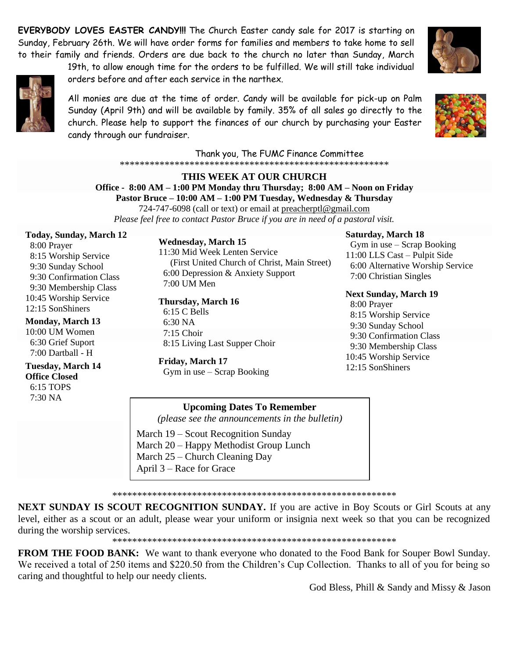**EVERYBODY LOVES EASTER CANDY!!!** The Church Easter candy sale for 2017 is starting on Sunday, February 26th. We will have order forms for families and members to take home to sell to their family and friends. Orders are due back to the church no later than Sunday, March

19th, to allow enough time for the orders to be fulfilled. We will still take individual



orders before and after each service in the narthex.

All monies are due at the time of order. Candy will be available for pick-up on Palm Sunday (April 9th) and will be available by family. 35% of all sales go directly to the church. Please help to support the finances of our church by purchasing your Easter candy through our fundraiser.



Thank you, The FUMC Finance Committee 

# THIS WEEK AT OUR CHURCH Office - 8:00 AM - 1:00 PM Monday thru Thursday; 8:00 AM - Noon on Friday Pastor Bruce - 10:00 AM - 1:00 PM Tuesday, Wednesday & Thursday

724-747-6098 (call or text) or email at preacherptl@gmail.com Please feel free to contact Pastor Bruce if you are in need of a pastoral visit.

**Today, Sunday, March 12** 

8:00 Prayer 8:15 Worship Service 9:30 Sunday School 9:30 Confirmation Class 9:30 Membership Class 10:45 Worship Service 12:15 SonShiners

**Monday, March 13** 

10:00 UM Women 6:30 Grief Suport 7:00 Dartball - H

**Tuesday, March 14 Office Closed** 6:15 TOPS  $7.30\,\mathrm{NA}$ 

**Wednesday, March 15** 11:30 Mid Week Lenten Service (First United Church of Christ, Main Street) 6:00 Depression & Anxiety Support 7:00 UM Men

Thursday, March 16 6:15 C Bells  $6:30\text{ NA}$  $7:15$  Choir

8:15 Living Last Supper Choir Friday, March 17 Gym in use - Scrap Booking

**Saturday, March 18** Gym in use  $-$  Scrap Booking 11:00 LLS Cast - Pulpit Side 6:00 Alternative Worship Service 7:00 Christian Singles

**Next Sunday, March 19** 8:00 Prayer 8:15 Worship Service 9:30 Sunday School 9:30 Confirmation Class 9:30 Membership Class 10:45 Worship Service 12:15 SonShiners

**Upcoming Dates To Remember** 

(please see the announcements in the bulletin)

March 19 – Scout Recognition Sunday March 20 – Happy Methodist Group Lunch March 25 – Church Cleaning Day April 3 – Race for Grace

**NEXT SUNDAY IS SCOUT RECOGNITION SUNDAY.** If you are active in Boy Scouts or Girl Scouts at any level, either as a scout or an adult, please wear your uniform or insignia next week so that you can be recognized during the worship services.

**FROM THE FOOD BANK:** We want to thank everyone who donated to the Food Bank for Souper Bowl Sunday. We received a total of 250 items and \$220.50 from the Children's Cup Collection. Thanks to all of you for being so caring and thoughtful to help our needy clients.

God Bless, Phill & Sandy and Missy & Jason

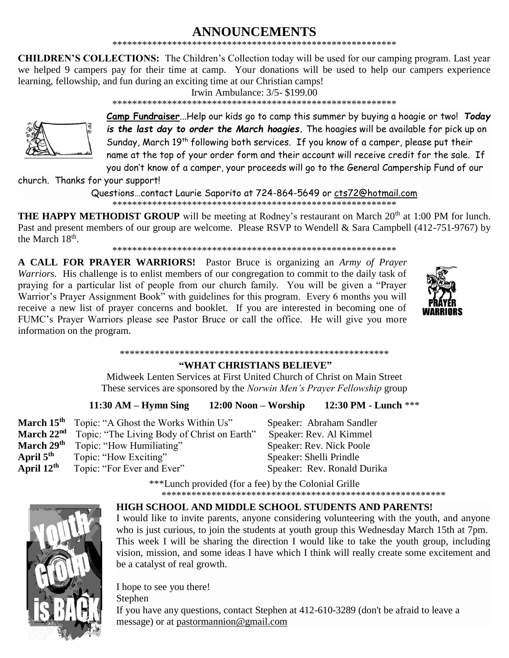# ANNOUNCEMENTS

**CHILDREN'S COLLECTIONS:** The Children's Collection today will be used for our camping program. Last year we helped 9 campers pay for their time at camp. Your donations will be used to help our campers experience learning, fellowship, and fun during an exciting time at our Christian camps!

Irwin Ambulance:  $3/5 - $199.00$ 



Camp Fundraiser...Help our kids go to camp this summer by buying a hoagie or two! Today is the last day to order the March hoagies. The hoagies will be available for pick up on Sunday, March 19<sup>th</sup> following both services. If you know of a camper, please put their name at the top of your order form and their account will receive credit for the sale. If you don't know of a camper, your proceeds will go to the General Campership Fund of our

\*\*\*\*\*\*\*\*\*\*\*\*\*\*\*\*\*\*

church. Thanks for your support!

Questions...contact Laurie Saporito at 724-864-5649 or cts72@hotmail.com 

**THE HAPPY METHODIST GROUP** will be meeting at Rodney's restaurant on March 20<sup>th</sup> at 1:00 PM for lunch. Past and present members of our group are welcome. Please RSVP to Wendell & Sara Campbell (412-751-9767) by the March 18<sup>th</sup>.

A CALL FOR PRAYER WARRIORS! Pastor Bruce is organizing an Army of Prayer Warriors. His challenge is to enlist members of our congregation to commit to the daily task of praying for a particular list of people from our church family. You will be given a "Prayer Warrior's Prayer Assignment Book" with guidelines for this program. Every 6 months you will receive a new list of prayer concerns and booklet. If you are interested in becoming one of FUMC's Prayer Warriors please see Pastor Bruce or call the office. He will give you more information on the program.



#### 

# "WHAT CHRISTIANS BELIEVE"

Midweek Lenten Services at First United Church of Christ on Main Street These services are sponsored by the Norwin Men's Prayer Fellowship group

#### $11:30$  AM – Hymn Sing  $12:00$  Noon – Worship 12:30 PM - Lunch \*\*\*

|                        | March 15 <sup>th</sup> Topic: "A Ghost the Works Within Us"        | Speaker: Abraham Sandler    |
|------------------------|--------------------------------------------------------------------|-----------------------------|
|                        | March 22 <sup>nd</sup> Topic: "The Living Body of Christ on Earth" | Speaker: Rev. Al Kimmel     |
|                        | March 29 <sup>th</sup> Topic: "How Humiliating"                    | Speaker: Rev. Nick Poole    |
| April $5^{\text{th}}$  | Topic: "How Exciting"                                              | Speaker: Shelli Prindle     |
| April $12^{\text{th}}$ | Topic: "For Ever and Ever"                                         | Speaker: Rev. Ronald Durika |
|                        | $***$ unch provided (for a fee) by the Colonial Crille             |                             |

Lunch provided (for a fee) by the Colonial Grille 



#### **HIGH SCHOOL AND MIDDLE SCHOOL STUDENTS AND PARENTS!**

I would like to invite parents, anyone considering volunteering with the youth, and anyone who is just curious, to join the students at youth group this Wednesday March 15th at 7pm. This week I will be sharing the direction I would like to take the youth group, including vision, mission, and some ideas I have which I think will really create some excitement and be a catalyst of real growth.

I hope to see you there! Stephen If you have any questions, contact Stephen at 412-610-3289 (don't be afraid to leave a message) or at pastormannion@gmail.com